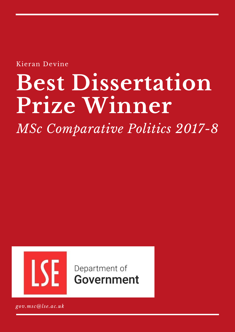Kieran Devine

# **Best Dissertation Prize Winner**

*MSc Comparative Politics 2017-8*



Department of Government

*gov.msc@lse.ac.uk*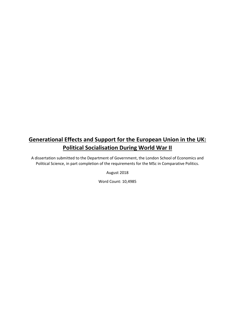# **Generational Effects and Support for the European Union in the UK: Political Socialisation During World War II**

A dissertation submitted to the Department of Government, the London School of Economics and Political Science, in part completion of the requirements for the MSc in Comparative Politics.

August 2018

Word Count: 10,4985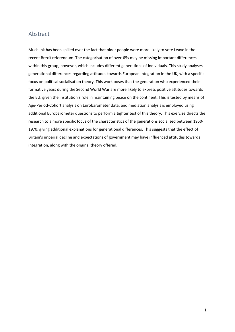## Abstract

Much ink has been spilled over the fact that older people were more likely to vote Leave in the recent Brexit referendum. The categorisation of over-65s may be missing important differences within this group, however, which includes different generations of individuals. This study analyses generational differences regarding attitudes towards European integration in the UK, with a specific focus on political socialisation theory. This work poses that the generation who experienced their formative years during the Second World War are more likely to express positive attitudes towards the EU, given the institution's role in maintaining peace on the continent. This is tested by means of Age-Period-Cohort analysis on Eurobarometer data, and mediation analysis is employed using additional Eurobarometer questions to perform a tighter test of this theory. This exercise directs the research to a more specific focus of the characteristics of the generations socialised between 1950- 1970, giving additional explanations for generational differences. This suggests that the effect of Britain's imperial decline and expectations of government may have influenced attitudes towards integration, along with the original theory offered.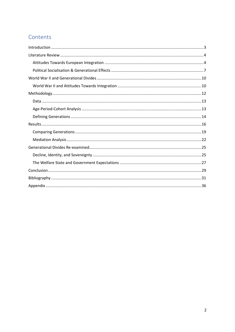# Contents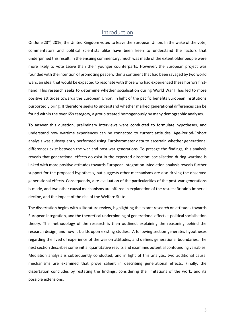## Introduction

On June 23rd, 2016, the United Kingdom voted to leave the European Union. In the wake of the vote, commentators and political scientists alike have been keen to understand the factors that underpinned this result. In the ensuing commentary, much was made of the extent older people were more likely to vote Leave than their younger counterparts. However, the European project was founded with the intention of promoting peace within a continent that had been ravaged by two world wars, an ideal that would be expected to resonate with those who had experienced these horrors firsthand. This research seeks to determine whether socialisation during World War II has led to more positive attitudes towards the European Union, in light of the pacific benefits European institutions purportedly bring. It therefore seeks to understand whether marked generational differences can be found within the over 65s category, a group treated homogenously by many demographic analyses.

To answer this question, preliminary interviews were conducted to formulate hypotheses, and understand how wartime experiences can be connected to current attitudes. Age-Period-Cohort analysis was subsequently performed using Eurobarometer data to ascertain whether generational differences exist between the war and post-war generations. To presage the findings, this analysis reveals that generational effects do exist in the expected direction: socialisation during wartime is linked with more positive attitudes towards European integration. Mediation analysis reveals further support for the proposed hypothesis, but suggests other mechanisms are also driving the observed generational effects. Consequently, a re-evaluation of the particularities of the post-war generations is made, and two other causal mechanisms are offered in explanation of the results: Britain's imperial decline, and the impact of the rise of the Welfare State.

The dissertation begins with a literature review, highlighting the extant research on attitudes towards European integration, and the theoretical underpinning of generational effects – political socialisation theory. The methodology of the research is then outlined, explaining the reasoning behind the research design, and how it builds upon existing studies. A following section generates hypotheses regarding the lived of experience of the war on attitudes, and defines generational boundaries. The next section describes some initial quantitative results and examines potential confounding variables. Mediation analysis is subsequently conducted, and in light of this analysis, two additional causal mechanisms are examined that prove salient in describing generational effects. Finally, the dissertation concludes by restating the findings, considering the limitations of the work, and its possible extensions.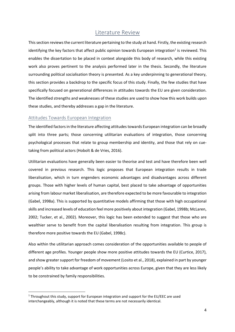# Literature Review

This section reviews the current literature pertaining to the study at hand. Firstly, the existing research identifying the key factors that affect public opinion towards European integration<sup>1</sup> is reviewed. This enables the dissertation to be placed in context alongside this body of research, while this existing work also proves pertinent to the analysis performed later in the thesis. Secondly, the literature surrounding political socialisation theory is presented. As a key underpinning to generational theory, this section provides a backdrop to the specific focus of this study. Finally, the few studies that have specifically focused on generational differences in attitudes towards the EU are given consideration. The identified strengths and weaknesses of these studies are used to show how this work builds upon these studies, and thereby addresses a gap in the literature.

#### Attitudes Towards European Integration

**.** 

The identified factors in the literature affecting attitudes towards European integration can be broadly split into three parts; those concerning utilitarian evaluations of integration, those concerning psychological processes that relate to group membership and identity, and those that rely on cuetaking from political actors (Hobolt & de Vries, 2016).

Utilitarian evaluations have generally been easier to theorise and test and have therefore been well covered in previous research. This logic proposes that European integration results in trade liberalisation, which in turn engenders economic advantages and disadvantages across different groups. Those with higher levels of human capital, best placed to take advantage of opportunities arising from labour market liberalisation, are therefore expected to be more favourable to integration (Gabel, 1998a). This is supported by quantitative models affirming that those with high occupational skills and increased levels of education feel more positively about integration (Gabel, 1998b; McLaren, 2002; Tucker, et al., 2002). Moreover, this logic has been extended to suggest that those who are wealthier serve to benefit from the capital liberalisation resulting from integration. This group is therefore more positive towards the EU (Gabel, 1998c).

Also within the utilitarian approach comes consideration of the opportunities available to people of different age profiles. Younger people show more positive attitudes towards the EU (Curtice, 2017), and show greater support for freedom of movement (Losito et al., 2018), explained in part by younger people's ability to take advantage of work opportunities across Europe, given that they are less likely to be constrained by family responsibilities.

<sup>&</sup>lt;sup>1</sup> Throughout this study, support for European integration and support for the EU/EEC are used interchangeably, although it is noted that these terms are not necessarily identical.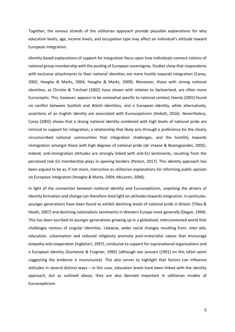Together, the various strands of the utilitarian approach provide plausible explanations for why education levels, age, income levels, and occupation type may affect an individual's attitude toward European integration.

Identity based explanations of support for integration focus upon how individuals connect notions of national group membership with the pooling of European sovereignty. Studies show that respondents with exclusive attachments to their national identities are more hostile towards integration (Carey, 2002; Hooghe & Marks, 2004; Hooghe & Marks, 2009). Moreover, those with strong national identities, as Christin & Trechsel (2002) have shown with relation to Switzerland, are often more Eurosceptic. This, however, appears to be somewhat specific to national context; Haesly (2001) found no conflict between Scottish and Welsh identities, and a European identity, while alternatively, assertions of an English identity are associated with Euroscepticism (Hobolt, 2016). Nevertheless, Carey (2002) shows that a strong national identity combined with high levels of national pride are inimical to support for integration, a relationship that likely acts through a preference for the clearly circumscribed national communities that integration challenges, and the hostility towards immigration amongst those with high degrees of national pride (de Vreese & Boomgaarden, 2005). Indeed, anti-immigration attitudes are strongly linked with anti-EU sentiments, resulting from the perceived role EU membership plays in opening borders (Peston, 2017). This identity approach has been argued to be as, if not more, instructive as utilitarian explanations for informing public opinion on European integration (Hooghe & Marks, 2004; McLaren, 2006).

In light of the connection between national identity and Euroscepticism, unpicking the drivers of identity formation and change can therefore shed light on attitudes towards integration. In particular, younger generations have been found to exhibit declining levels of national pride in Britain (Tilley & Heath, 2007) and declining nationalistic sentiments in Western Europe more generally (Dogan, 1994). This has been ascribed to younger generations growing up in a globalised, interconnected world that challenges notions of singular identities. Likewise, wider social changes resulting from, *inter alia,* education, urbanisation and reduced religiosity promote post-materialist values that encourage empathy and cooperation (Inglehart, 1997), conducive to support for supranational organisations and a European identity (Duchesne & Frognier, 1995) (although see Janssen (1991) on this latter point suggesting the evidence is inconclusive). This also serves to highlight that factors can influence attitudes in several distinct ways – in this case, education levels have been linked with the identity approach, but as outlined above, they are also deemed important in utilitarian models of Euroscepticism.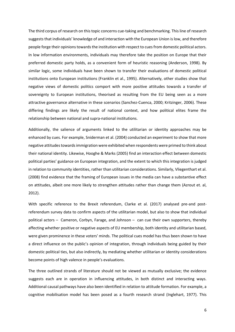The third corpus of research on this topic concerns cue-taking and benchmarking. This line of research suggests that individuals' knowledge of and interaction with the European Union is low, and therefore people forge their opinions towards the institution with respect to cues from domestic political actors. In low information environments, individuals may therefore take the position on Europe that their preferred domestic party holds, as a convenient form of heuristic reasoning (Anderson, 1998). By similar logic, some individuals have been shown to transfer their evaluations of domestic political institutions onto European institutions (Franklin et al., 1995). Alternatively, other studies show that negative views of domestic politics comport with more positive attitudes towards a transfer of sovereignty to European institutions, theorised as resulting from the EU being seen as a more attractive governance alternative in these scenarios (Sanchez-Cuenca, 2000; Kritzinger, 2006). These differing findings are likely the result of national context, and how political elites frame the relationship between national and supra-national institutions.

Additionally, the salience of arguments linked to the utilitarian or identity approaches may be enhanced by cues. For example, Sniderman et al. (2004) conducted an experiment to show that more negative attitudes towards immigration were exhibited when respondents were primed to think about their national identity. Likewise, Hooghe & Marks (2005) find an interaction effect between domestic political parties' guidance on European integration, and the extent to which this integration is judged in relation to community identities, rather than utilitarian considerations. Similarly, Vliegenthart et al. (2008) find evidence that the framing of European issues in the media can have a substantive effect on attitudes, albeit one more likely to strengthen attitudes rather than change them (Azrout et. al, 2012).

With specific reference to the Brexit referendum, Clarke et al. (2017) analysed pre-and postreferendum survey data to confirm aspects of the utilitarian model, but also to show that individual political actors – Cameron, Corbyn, Farage, and Johnson – can cue their own supporters, thereby affecting whether positive or negative aspects of EU membership, both identity and utilitarian based, were given prominence in these voters' minds. The political cues model has thus been shown to have a direct influence on the public's opinion of integration, through individuals being guided by their domestic political ties, but also indirectly, by mediating whether utilitarian or identity considerations become points of high valence in people's evaluations.

The three outlined strands of literature should not be viewed as mutually exclusive; the evidence suggests each are in operation in influencing attitudes, in both distinct and interacting ways. Additional causal pathways have also been identified in relation to attitude formation. For example, a cognitive mobilisation model has been posed as a fourth research strand (Inglehart, 1977). This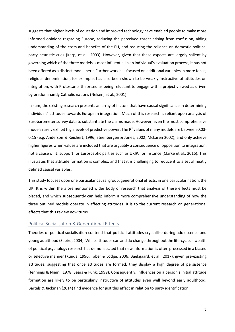suggests that higher levels of education and improved technology have enabled people to make more informed opinions regarding Europe, reducing the perceived threat arising from confusion, aiding understanding of the costs and benefits of the EU, and reducing the reliance on domestic political party heuristic cues (Karp, et al., 2003). However, given that these aspects are largely salient by governing which of the three models is most influential in an individual's evaluation process, it has not been offered as a distinct model here. Further work has focused on additional variables in more focus; religious denomination, for example, has also been shown to be weakly instructive of attitudes on integration, with Protestants theorised as being reluctant to engage with a project viewed as driven by predominantly Catholic nations (Nelsen, et al., 2001).

In sum, the existing research presents an array of factors that have causal significance in determining individuals' attitudes towards European integration. Much of this research is reliant upon analysis of Eurobarometer survey data to substantiate the claims made. However, even the most comprehensive models rarely exhibit high levels of predictive power. The  $R^2$  values of many models are between 0.03-0.15 (e.g. Anderson & Reichert, 1996; Steenbergen & Jones, 2002; McLaren 2002), and only achieve higher figures when values are included that are arguably a consequence of opposition to integration, not a cause of it; support for Eurosceptic parties such as UKIP, for instance (Clarke et al., 2016). This illustrates that attitude formation is complex, and that it is challenging to reduce it to a set of neatly defined causal variables.

This study focuses upon one particular causal group, generational effects, in one particular nation, the UK. It is within the aforementioned wider body of research that analysis of these effects must be placed, and which subsequently can help inform a more comprehensive understanding of how the three outlined models operate in affecting attitudes. It is to the current research on generational effects that this review now turns.

#### Political Socialisation & Generational Effects

Theories of political socialisation contend that political attitudes crystallise during adolescence and young adulthood (Sapiro, 2004). While attitudes can and do change throughout the life-cycle, a wealth of political psychology research has demonstrated that new information is often processed in a biased or selective manner (Kunda, 1990; Taber & Lodge, 2006; Baekgaard, et al., 2017), given pre-existing attitudes, suggesting that once attitudes are formed, they display a high degree of persistence (Jennings & Niemi, 1978; Sears & Funk, 1999). Consequently, influences on a person's initial attitude formation are likely to be particularly instructive of attitudes even well beyond early adulthood. Bartels & Jackman (2014) find evidence for just this effect in relation to party identification.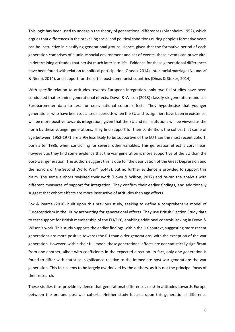This logic has been used to underpin the theory of generational differences (Mannheim 1952), which argues that differences in the prevailing social and political conditions during people's formative years can be instructive in classifying generational groups. Hence, given that the formative period of each generation comprises of a unique social environment and set of events, these events can prove vital in determining attitudes that persist much later into life. Evidence for these generational differences have been found with relation to political participation (Grasso, 2014), inter-racial marriage (Neundorf & Niemi, 2014), and support for the left in post-communist countries (Dinas & Stoker, 2014).

With specific relation to attitudes towards European integration, only two full studies have been conducted that examine generational effects. Down & Wilson (2013) classify six generations and use Eurobarometer data to test for cross-national cohort effects. They hypothesise that younger generations, who have been socialised in periods when the EU and its signifiers have been in existence, will be more positive towards integration, given that the EU and its institutions will be viewed as the norm by these younger generations. They find support for their contention; the cohort that came of age between 1952-1971 are 5.9% less likely to be supportive of the EU than the most recent cohort, born after 1986, when controlling for several other variables. This generation effect is curvilinear, however, as they find some evidence that the war generation is more supportive of the EU than the post-war generation. The authors suggest this is due to "the deprivation of the Great Depression and the horrors of the Second World War" (p.443), but no further evidence is provided to support this claim. The same authors revisited their work (Down & Wilson, 2017) and re-ran the analysis with different measures of support for integration. They confirm their earlier findings, and additionally suggest that cohort effects are more instructive of attitudes than age effects.

Fox & Pearce (2018) built upon this previous study, seeking to define a comprehensive model of Euroscepticism in the UK by accounting for generational effects. They use British Election Study data to test support for British membership of the EU/ECC, enabling additional controls lacking in Down & Wilson's work. This study supports the earlier findings within the UK context, suggesting more recent generations are more positive towards the EU than older generations, with the exception of the war generation. However, within their full model these generational effects are not statistically significant from one another, albeit with coefficients in the expected direction. In fact, only one generation is found to differ with statistical significance relative to the immediate post-war generation: the war generation. This fact seems to be largely overlooked by the authors, as it is not the principal focus of their research.

These studies thus provide evidence that generational differences exist in attitudes towards Europe between the pre-and post-war cohorts. Neither study focuses upon this generational difference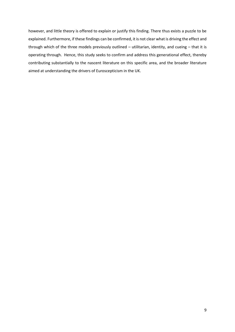however, and little theory is offered to explain or justify this finding. There thus exists a puzzle to be explained. Furthermore, if these findings can be confirmed, it is not clear what is driving the effect and through which of the three models previously outlined – utilitarian, identity, and cueing – that it is operating through. Hence, this study seeks to confirm and address this generational effect, thereby contributing substantially to the nascent literature on this specific area, and the broader literature aimed at understanding the drivers of Euroscepticism in the UK.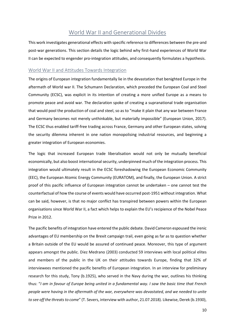# World War II and Generational Divides

This work investigates generational effects with specific reference to differences between the pre-and post-war generations. This section details the logic behind why first-hand experiences of World War II can be expected to engender pro-integration attitudes, and consequently formulates a hypothesis.

#### World War II and Attitudes Towards Integration

The origins of European integration fundamentally lie in the devastation that benighted Europe in the aftermath of World war II. The Schumann Declaration, which preceded the European Coal and Steel Community (ECSC), was explicit in its intention of creating a more unified Europe as a means to promote peace and avoid war. The declaration spoke of creating a supranational trade organisation that would pool the production of coal and steel, so as to "make it plain that any war between France and Germany becomes not merely unthinkable, but materially impossible" (European Union, 2017). The ECSC thus enabled tariff-free trading across France, Germany and other European states, solving the security dilemma inherent in one nation monopolising industrial resources, and beginning a greater integration of European economies.

The logic that increased European trade liberalisation would not only be mutually beneficial economically, but also boost international security, underpinned much of the integration process. This integration would ultimately result in the ECSC foreshadowing the European Economic Community (EEC), the European Atomic Energy Community (EURATOM), and finally, the European Union. A strict proof of this pacific influence of European integration cannot be undertaken – one cannot test the counterfactual of how the course of events would have occurred post-1951 without integration. What can be said, however, is that no major conflict has transpired between powers within the European organisations since World War II, a fact which helps to explain the EU's recipience of the Nobel Peace Prize in 2012.

The pacific benefits of integration have entered the public debate. David Cameron espoused the irenic advantages of EU membership on the Brexit campaign trail, even going as far as to question whether a Britain outside of the EU would be assured of continued peace. Moreover, this type of argument appears amongst the public. Díez Medrano (2003) conducted 59 interviews with local political elites and members of the public in the UK on their attitudes towards Europe, finding that 32% of interviewees mentioned the pacific benefits of European integration. In an interview for preliminary research for this study, Tony (b.1925), who served in the Navy during the war, outlines his thinking thus: "*I am in favour of Europe being united in a fundamental way. I saw the basic time that French people were having in the aftermath of the war, everywhere was devastated, and we needed to unite to see off the threats to come*" (T. Severs, interview with author, 21.07.2018). Likewise, Derek (b.1930),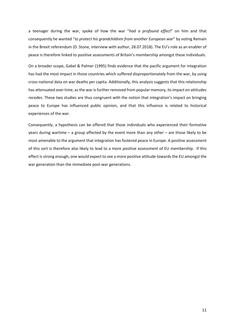a teenager during the war, spoke of how the war "*had a profound effect*" on him and that consequently he wanted "*to protect his grandchildren from another European war*" by voting Remain in the Brexit referendum (D. Stone, interview with author, 28.07.2018). The EU's role as an enabler of peace is therefore linked to positive assessments of Britain's membership amongst these individuals.

On a broader scope, Gabel & Palmer (1995) finds evidence that the pacific argument for integration has had the most impact in those countries which suffered disproportionately from the war, by using cross-national data on war deaths per capita. Additionally, this analysis suggests that this relationship has attenuated over time; as the war is further removed from popular memory, its impact on attitudes recedes. These two studies are thus congruent with the notion that integration's impact on bringing peace to Europe has influenced public opinion, and that this influence is related to historical experiences of the war.

Consequently, a hypothesis can be offered that those individuals who experienced their formative years during wartime – a group affected by the event more than any other – are those likely to be most amenable to the argument that integration has fostered peace in Europe. A positive assessment of this sort is therefore also likely to lead to a more positive assessment of EU membership. If this effect is strong enough, one would expect to see a more positive attitude towards the EU amongst the war generation than the immediate post-war generations.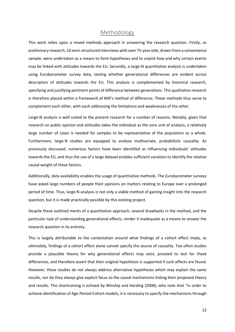## Methodology

This work relies upon a mixed methods approach in answering the research question. Firstly, as preliminary research, 10 semi-structured interviews with over 75-year olds, drawn from a convenience sample, were undertaken as a means to form hypotheses and to unpick how and why certain events may be linked with attitudes towards the EU. Secondly, a large-N quantitative analysis is undertaken using Eurobarometer survey data, testing whether generational differences are evident across descriptors of attitudes towards the EU. This analysis is complemented by historical research, specifying and justifying pertinent points of difference between generations. This qualitative research is therefore placed within a framework of Mill's method of difference. These methods thus serve to complement each other, with each addressing the limitations and weaknesses of the other.

Large-N analysis is well suited to the present research for a number of reasons. Notably, given that research on public opinion and attitudes takes the individual as the core unit of analysis, a relatively large number of cases is needed for samples to be representative of the population as a whole. Furthermore, large-N studies are equipped to analyse multivariate, probabilistic causality. As previously discussed, numerous factors have been identified as influencing individuals' attitudes towards the EU, and thus the use of a large dataset enables sufficient variation to identify the relative causal weight of these factors.

Additionally, data availability enables the usage of quantitative methods. The Eurobarometer surveys have asked large numbers of people their opinions on matters relating to Europe over a prolonged period of time. Thus, large-N analysis is not only a viable method of gaining insight into the research question, but it is made practically possible by this existing project.

Despite these outlined merits of a quantitative approach, several drawbacks in the method, and the particular task of understanding generational effects, render it inadequate as a means to answer the research question in its entirety.

This is largely attributable to the contestation around what findings of a cohort effect imply, as ultimately, findings of a cohort effect alone cannot specify the source of causality. Too often studies provide a plausible theory for why generational effects may exist, proceed to test for these differences, and therefore assert that their original hypothesis is supported if such effects are found. However, these studies do not always address alternative hypotheses which may explain the same results, nor do they always give explicit focus to the causal mechanisms linking their proposed theory and results. This shortcoming is echoed by Winship and Harding (2008), who note that "in order to achieve identification of Age-Period-Cohort models, it is necessary to specify the mechanisms through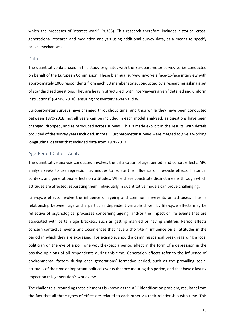which the processes of interest work" (p.365). This research therefore includes historical crossgenerational research and mediation analysis using additional survey data, as a means to specify causal mechanisms.

#### Data

The quantitative data used in this study originates with the Eurobarometer survey series conducted on behalf of the European Commission. These biannual surveys involve a face-to-face interview with approximately 1000 respondents from each EU member state, conducted by a researcher asking a set of standardised questions. They are heavily structured, with interviewers given "detailed and uniform instructions" (GESIS, 2018), ensuring cross-interviewer validity.

Eurobarometer surveys have changed throughout time, and thus while they have been conducted between 1970-2018, not all years can be included in each model analysed, as questions have been changed, dropped, and reintroduced across surveys. This is made explicit in the results, with details provided of the survey years included. In total, Eurobarometer surveys were merged to give a working longitudinal dataset that included data from 1970-2017.

#### Age-Period-Cohort Analysis

The quantitative analysis conducted involves the trifurcation of age, period, and cohort effects. APC analysis seeks to use regression techniques to isolate the influence of life-cycle effects, historical context, and generational effects on attitudes. While these constitute distinct means through which attitudes are affected, separating them individually in quantitative models can prove challenging.

Life-cycle effects involve the influence of ageing and common life-events on attitudes. Thus, a relationship between age and a particular dependent variable driven by life-cycle effects may be reflective of psychological processes concerning ageing, and/or the impact of life events that are associated with certain age brackets, such as getting married or having children. Period effects concern contextual events and occurrences that have a short-term influence on all attitudes in the period in which they are expressed. For example, should a damning scandal break regarding a local politician on the eve of a poll, one would expect a period effect in the form of a depression in the positive opinions of all respondents during this time. Generation effects refer to the influence of environmental factors during each generations' formative period, such as the prevailing social attitudes of the time or important political events that occur during this period, and that have a lasting impact on this generation's worldview.

The challenge surrounding these elements is known as the APC identification problem, resultant from the fact that all three types of effect are related to each other via their relationship with time. This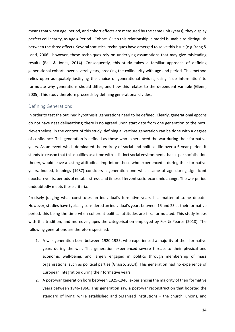means that when age, period, and cohort effects are measured by the same unit (years), they display perfect collinearity, as Age = Period - Cohort. Given this relationship, a model is unable to distinguish between the three effects. Several statistical techniques have emerged to solve this issue (e.g. Yang & Land, 2006), however, these techniques rely on underlying assumptions that may give misleading results (Bell & Jones, 2014). Consequently, this study takes a familiar approach of defining generational cohorts over several years, breaking the collinearity with age and period. This method relies upon adequately justifying the choice of generational divides, using 'side information' to formulate why generations should differ, and how this relates to the dependent variable (Glenn, 2005). This study therefore proceeds by defining generational divides.

#### Defining Generations

In order to test the outlined hypothesis, generations need to be defined. Clearly, generational epochs do not have neat delineations; there is no agreed upon start date from one generation to the next. Nevertheless, in the context of this study, defining a wartime generation can be done with a degree of confidence. This generation is defined as those who experienced the war during their formative years. As an event which dominated the entirety of social and political life over a 6-year period, it stands to reason that this qualifies as a time with a distinct social environment, that as per socialisation theory, would leave a lasting attitudinal imprint on those who experienced it during their formative years. Indeed, Jennings (1987) considers a generation one which came of age during significant epochal events, periods of notable stress, and times of fervent socio-economic change. The war period undoubtedly meets these criteria.

Precisely judging what constitutes an individual's formative years is a matter of some debate. However, studies have typically considered an individual's years between 15 and 25 as their formative period, this being the time when coherent political attitudes are first formulated. This study keeps with this tradition, and moreover, apes the categorisation employed by Fox & Pearce (2018). The following generations are therefore specified:

- 1. A war generation born between 1920-1925, who experienced a majority of their formative years during the war. This generation experienced severe threats to their physical and economic well-being, and largely engaged in politics through membership of mass organisations, such as political parties (Grasso, 2014). This generation had no experience of European integration during their formative years.
- 2. A post-war generation born between 1925-1946, experiencing the majority of their formative years between 1946-1966. This generation saw a post-war reconstruction that boosted the standard of living, while established and organised institutions – the church, unions, and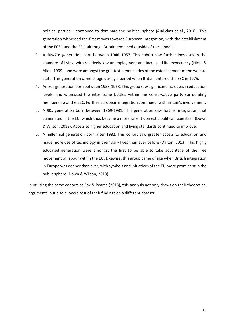political parties – continued to dominate the political sphere (Audickas et al., 2016). This generation witnessed the first moves towards European integration, with the establishment of the ECSC and the EEC, although Britain remained outside of these bodies.

- 3. A 60s/70s generation born between 1946–1957. This cohort saw further increases in the standard of living, with relatively low unemployment and increased life expectancy (Hicks & Allen, 1999), and were amongst the greatest beneficiaries of the establishment of the welfare state. This generation came of age during a period when Britain entered the EEC in 1975.
- 4. An 80s generation born between 1958-1968. This group saw significant increases in education levels, and witnessed the internecine battles within the Conservative party surrounding membership of the EEC. Further European integration continued, with Britain's involvement.
- 5. A 90s generation born between 1969-1981. This generation saw further integration that culminated in the EU, which thus became a more salient domestic political issue itself (Down & Wilson, 2013). Access to higher education and living standards continued to improve.
- 6. A millennial generation born after 1982. This cohort saw greater access to education and made more use of technology in their daily lives than ever before (Dalton, 2013). This highly educated generation were amongst the first to be able to take advantage of the free movement of labour within the EU. Likewise, this group came of age when British integration in Europe was deeper than ever, with symbols and initiatives of the EU more prominent in the public sphere (Down & Wilson, 2013).

In utilising the same cohorts as Fox & Pearce (2018), this analysis not only draws on their theoretical arguments, but also allows a test of their findings on a different dataset.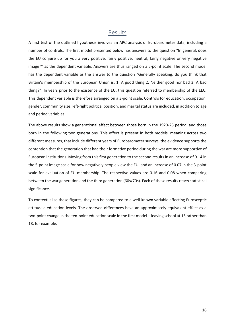## Results

A first test of the outlined hypothesis involves an APC analysis of Eurobarometer data, including a number of controls. The first model presented below has answers to the question "In general, does the EU conjure up for you a very positive, fairly positive, neutral, fairly negative or very negative image?" as the dependent variable. Answers are thus ranged on a 5-point scale. The second model has the dependent variable as the answer to the question "Generally speaking, do you think that Britain's membership of the European Union is: 1. A good thing 2. Neither good nor bad 3. A bad thing?". In years prior to the existence of the EU, this question referred to membership of the EEC. This dependent variable is therefore arranged on a 3-point scale. Controls for education, occupation, gender, community size, left-right political position, and marital status are included, in addition to age and period variables.

The above results show a generational effect between those born in the 1920-25 period, and those born in the following two generations. This effect is present in both models, meaning across two different measures, that include different years of Eurobarometer surveys, the evidence supports the contention that the generation that had their formative period during the war are more supportive of European institutions. Moving from this first generation to the second results in an increase of 0.14 in the 5-point image scale for how negatively people view the EU, and an increase of 0.07 in the 3-point scale for evaluation of EU membership. The respective values are 0.16 and 0.08 when comparing between the war generation and the third generation (60s/70s). Each of these results reach statistical significance.

To contextualise these figures, they can be compared to a well-known variable affecting Eurosceptic attitudes: education levels. The observed differences have an approximately equivalent effect as a two-point change in the ten-point education scale in the first model – leaving school at 16 rather than 18, for example.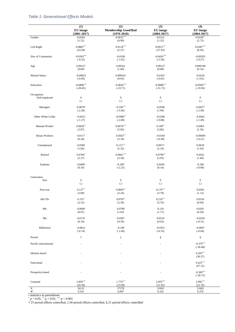## *Table 1: Generational Effects Models*

|                       | $\overline{1}$    | $\overline{(2)}$           | $\overline{3}$    | $\overline{(4)}$          |
|-----------------------|-------------------|----------------------------|-------------------|---------------------------|
|                       | EU image          | <b>Membership Good/Bad</b> | EU image          | EU image                  |
|                       | $(2001 - 2017)$   | $(1976 - 2010)$            | $(2004 - 2017)$   | $(2004 - 2017)$           |
| Gender                | 0.0204            | $0.0632**$                 | 0.0152            | $0.0334**$                |
|                       | (1.52)            | (6.90)                     | (1.25)            | (2.72)                    |
| Left-Right            | $0.0882***$       | $0.0118^{\ast\ast\ast}$    | $0.0915***$       | $0.0287***$               |
|                       | (24.58)           | (5.27)                     | (27.93)           | (8.56)                    |
| Size of Community     | $-0.0363***$      | $-0.0106$                  | $-0.0424***$      | $-0.00203$                |
|                       | $(-4.32)$         | $(-1.92)$                  | $(-5.56)$         | $(-0.27)$                 |
| Age                   | 0.00127           | 0.00161                    | 0.00127           | 0.000198                  |
|                       | (0.80)            | (1.60)                     | (0.88)            | (0.14)                    |
| <b>Marital Status</b> | $-0.00823$        | 0.000341                   | $-0.0101$         | $-0.0226$                 |
|                       | $(-0.60)$         | (0.03)                     | $(-0.81)$         | $(-1.81)$                 |
| Education             | $-0.0806***$      | $-0.0642***$               | $-0.0808***$      | $-0.0509***$              |
|                       | $(-28.45)$        | $(-33.71)$                 | $(-31.72)$        | $(-19.56)$                |
| Occupation            | $\boldsymbol{0}$  | $\bf{0}$                   | $\boldsymbol{0}$  | $\boldsymbol{0}$          |
| Self-employed         | (.)               | (.)                        | (.)               | (.)                       |
| Managers              | $-0.0678$ *       | $-0.104***$                | $-0.0506$         | $-0.0657$ *               |
|                       | $(-2.28)$         | $(-5.66)$                  | (1.90)            | $(-2.46)$                 |
| Other White Collar    | $-0.0412$         | $-0.0486**$                | $-0.0260$         | $-0.0442$                 |
|                       | $(-1.27)$         | $(-2.80)$                  | $(-0.88)$         | $(-1.49)$                 |
| Manual Worker         | $0.0820**$        | $0.0676***$                | $0.100**$         | 0.0463                    |
|                       | (2.87)            | (3.83)                     | (3.86)            | (1.56)                    |
| House Workers         | 0.0117            | $0.0563**$                 | $-0.0160$         | $-0.00699$                |
|                       | (0.34)            | (3.10)                     | $(-0.49)$         | $(-0.21)$                 |
| Unemployed            | 0.0589            | $0.112***$                 | $0.0671*$         | 0.0618                    |
|                       | (1.66)            | (5.32)                     | (2.10)            | (1.93)                    |
| Retired               | $0.0706*$         | $0.0661***$                | $0.0790**$        | 0.0432                    |
|                       | (2.37)            | (3.50)                     | (2.93)            | (1.60)                    |
| Students              | 0.0409            | $-0.100*$                  | 0.0450            | $-0.296$                  |
|                       | (0.10)            | $(-2.23)$                  | (0.14)            | $(-0.90)$                 |
| Generation<br>War     | $\boldsymbol{0}$  | $\boldsymbol{0}$           | $\boldsymbol{0}$  | $\boldsymbol{0}$          |
| Post-war              | $\left( .\right)$ | (.)                        | $\left( .\right)$ | $\left( .\right)$         |
|                       | $0.137**$         | $0.0693**$                 | $0.170***$        | 0.0503                    |
| 60s/70s               | (2.89)            | (3.24)                     | (3.79)            | (1.12)                    |
|                       | $0.155*$          | 0.0787                     | $0.210***$        | 0.0534                    |
|                       | (2.53)            | (2.39)                     | (3.70)            | (0.94)                    |
| 80s                   | 0.0689            | 0.0780                     | 0.120             | 0.0201                    |
|                       | (0.91)            | (1.82)                     | (1.71)            | (0.29)                    |
| 90s                   | 0.0176            | 0.0207                     | 0.0524            | $-0.0258$                 |
|                       | (0.19)            | (0.39)                     | (0.63)            | $(-0.31)$                 |
| Millennial            | $-0.0812$         | $-0.109$                   | $-0.0351$         | $-0.0697$                 |
|                       | $(-0.74)$         | $(-1.60)$                  | $(-0.35)$         | $(-0.69)$                 |
| Period                | Ť                 | $\ddagger$                 | $\S$              | $\S$                      |
| Pacific-international |                   |                            |                   | $-0.379***$<br>$(-36.48)$ |
| Identity-based        |                   |                            |                   | $0.283***$<br>(30.37)     |
| Functional            |                   |                            |                   | $0.423***$<br>(47.12)     |
| Prosperity-based      |                   |                            |                   | $-0.369***$<br>$(-28.73)$ |
| Constant              | $2.858***$        | $1.774***$                 | $2.876***$        | 2.992***                  |
|                       | (20.39)           | (23.99)                    | (21.95)           | (22.76)                   |
| $\cal N$              | 26131             | 37278                      | 21603             | 21603                     |
| $\mathbb{R}^2$        | 0.101             | 0.097                      | 0.102             | 0.376                     |

*t* statistics in parentheses  $p < 0.05$ ,  $p < 0.01$ ,  $p < 0.001$ 

† 25 period effects controlled, ‡ 60 period effects controlled, § 21 period effects controlled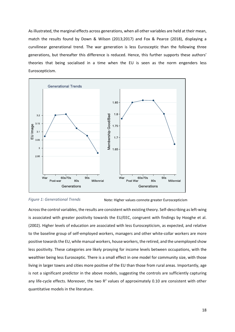As illustrated, the marginal effects across generations, when all other variables are held at their mean, match the results found by Down & Wilson (2013;2017) and Fox & Pearce (2018), displaying a curvilinear generational trend. The war generation is less Eurosceptic than the following three generations, but thereafter this difference is reduced. Hence, this further supports these authors' theories that being socialised in a time when the EU is seen as the norm engenders less Euroscepticism.



*Figure 1: Generational Trends* Note: Higher values connote greater Euroscepticism

Across the control variables, the results are consistent with existing theory. Self-describing as left-wing is associated with greater positivity towards the EU/EEC, congruent with findings by Hooghe et al. (2002). Higher levels of education are associated with less Euroscepticism, as expected, and relative to the baseline group of self-employed workers, managers and other white-collar workers are more positive towards the EU, while manual workers, house workers, the retired, and the unemployed show less positivity. These categories are likely proxying for income levels between occupations, with the wealthier being less Eurosceptic. There is a small effect in one model for community size, with those living in larger towns and cities more positive of the EU than those from rural areas. Importantly, age is not a significant predictor in the above models, suggesting the controls are sufficiently capturing any life-cycle effects. Moreover, the two  $R^2$  values of approximately 0.10 are consistent with other quantitative models in the literature.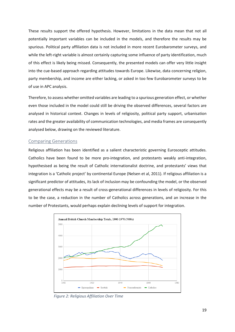These results support the offered hypothesis. However, limitations in the data mean that not all potentially important variables can be included in the models, and therefore the results may be spurious. Political party affiliation data is not included in more recent Eurobarometer surveys, and while the left-right variable is almost certainly capturing some influence of party identification, much of this effect is likely being missed. Consequently, the presented models can offer very little insight into the cue-based approach regarding attitudes towards Europe. Likewise, data concerning religion, party membership, and income are either lacking, or asked in too few Eurobarometer surveys to be of use in APC analysis.

Therefore, to assess whether omitted variables are leading to a spurious generation effect, or whether even those included in the model could still be driving the observed differences, several factors are analysed in historical context. Changes in levels of religiosity, political party support, urbanisation rates and the greater availability of communication technologies, and media frames are consequently analysed below, drawing on the reviewed literature.

#### Comparing Generations

Religious affiliation has been identified as a salient characteristic governing Eurosceptic attitudes. Catholics have been found to be more pro-integration, and protestants weakly anti-integration, hypothesised as being the result of Catholic internationalist doctrine, and protestants' views that integration is a 'Catholic project' by continental Europe (Nelsen et al, 2011). If religious affiliation is a significant predictor of attitudes, its lack of inclusion may be confounding the model, or the observed generational effects may be a result of cross-generational differences in levels of religiosity. For this to be the case, a reduction in the number of Catholics across generations, and an increase in the number of Protestants, would perhaps explain declining levels of support for integration.



*Figure 2: Religious Affiliation Over Time*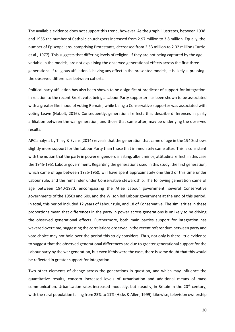The available evidence does not support this trend, however. As the graph illustrates, between 1938 and 1955 the number of Catholic churchgoers increased from 2.97 million to 3.8 million. Equally, the number of Episcopalians, comprising Protestants, decreased from 2.53 million to 2.32 million (Currie et al., 1977). This suggests that differing levels of religion, if they are not being captured by the age variable in the models, are not explaining the observed generational effects across the first three generations. If religious affiliation is having any effect in the presented models, it is likely supressing the observed differences between cohorts.

Political party affiliation has also been shown to be a significant predictor of support for integration. In relation to the recent Brexit vote, being a Labour Party supporter has been shown to be associated with a greater likelihood of voting Remain, while being a Conservative supporter was associated with voting Leave (Hobolt, 2016). Consequently, generational effects that describe differences in party affiliation between the war generation, and those that came after, may be underlying the observed results.

APC analysis by Tilley & Evans (2014) reveals that the generation that came of age in the 1940s shows slightly more support for the Labour Party than those that immediately came after. This is consistent with the notion that the party in power engenders a lasting, albeit minor, attitudinal effect, in this case the 1945-1951 Labour government. Regarding the generations used in this study, the first generation, which came of age between 1935-1950, will have spent approximately one third of this time under Labour rule, and the remainder under Conservative stewardship. The following generation came of age between 1940-1970, encompassing the Atlee Labour government, several Conservative governments of the 1950s and 60s, and the Wilson led Labour government at the end of this period. In total, this period included 12 years of Labour rule, and 18 of Conservative. The similarities in these proportions mean that differences in the party in power across generations is unlikely to be driving the observed generational effects. Furthermore, both main parties support for integration has wavered over time, suggesting the correlations observed in the recent referendum between party and vote choice may not hold over the period this study considers. Thus, not only is there little evidence to suggest that the observed generational differences are due to greater generational support for the Labour party by the war generation, but even if this were the case, there is some doubt that this would be reflected in greater support for integration.

Two other elements of change across the generations in question, and which may influence the quantitative results, concern increased levels of urbanisation and additional means of mass communication. Urbanisation rates increased modestly, but steadily, in Britain in the 20<sup>th</sup> century, with the rural population falling from 23% to 11% (Hicks & Allen, 1999). Likewise, television ownership

20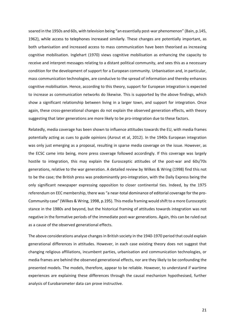soared in the 1950s and 60s, with television being "an essentially post-war phenomenon" (Bain, p.145, 1962), while access to telephones increased similarly. These changes are potentially important, as both urbanisation and increased access to mass communication have been theorised as increasing cognitive mobilisation. Inglehart (1970) views cognitive mobilisation as enhancing the capacity to receive and interpret messages relating to a distant political community, and sees this as a necessary condition for the development of support for a European community. Urbanisation and, in particular, mass communication technologies, are conducive to the spread of information and thereby enhances cognitive mobilisation. Hence, according to this theory, support for European integration is expected to increase as communication networks do likewise. This is supported by the above findings, which show a significant relationship between living in a larger town, and support for integration. Once again, these cross-generational changes do not explain the observed generation effects, with theory suggesting that later generations are more likely to be pro-integration due to these factors.

Relatedly, media coverage has been shown to influence attitudes towards the EU, with media frames potentially acting as cues to guide opinions (Azrout et al, 2012). In the 1940s European integration was only just emerging as a proposal, resulting in sparse media coverage on the issue. However, as the ECSC came into being, more press coverage followed accordingly. If this coverage was largely hostile to integration, this may explain the Eurosceptic attitudes of the post-war and 60s/70s generations, relative to the war generation. A detailed review by Wilkes & Wring (1998) find this not to be the case; the British press was predominantly pro-integration, with the Daily Express being the only significant newspaper expressing opposition to closer continental ties. Indeed, by the 1975 referendum on EEC membership, there was "a near-total dominance of editorial coverage for the pro-Community case" (Wilkes & Wring, 1998, p.195). This media framing would shift to a more Eurosceptic stance in the 1980s and beyond, but the historical framing of attitudes towards integration was not negative in the formative periods of the immediate post-war generations. Again, this can be ruled out as a cause of the observed generational effects.

The above considerations analyse changes in British society in the 1940-1970 period that could explain generational differences in attitudes. However, in each case existing theory does not suggest that changing religious affiliations, incumbent parties, urbanisation and communication technologies, or media frames are behind the observed generational effects, nor are they likely to be confounding the presented models. The models, therefore, appear to be reliable. However, to understand if wartime experiences are explaining these differences through the causal mechanism hypothesised, further analysis of Eurobarometer data can prove instructive.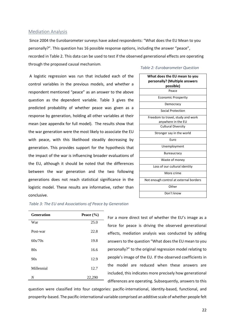#### Mediation Analysis

Since 2004 the Eurobarometer surveys have asked respondents: "What does the EU Mean to you personally?". This question has 16 possible response options, including the answer "peace", recorded in Table 2. This data can be used to test if the observed generational effects are operating through the proposed causal mechanism*. Table 2: Eurobarometer Question*

A logistic regression was run that included each of the control variables in the previous models, and whether a respondent mentioned "peace" as an answer to the above question as the dependent variable. Table 3 gives the predicted probability of whether peace was given as a response by generation, holding all other variables at their mean (see appendix for full model). The results show that the war generation were the most likely to associate the EU with peace, with this likelihood steadily decreasing by generation. This provides support for the hypothesis that the impact of the war is influencing broader evaluations of the EU, although it should be noted that the differences between the war generation and the two following generations does not reach statistical significance in the logistic model. These results are informative, rather than conclusive.

## **What does the EU mean to you personally? (Multiple answers possible)** Peace Economic Prosperity Democracy Social Protection Freedom to travel, study and work anywhere in the EU Cultural Diversity Stronger say in the world Euro Unemployment Bureaucracy Waste of money Loss of our cultural identity More crime Not enough control at external borders **Other** Don't know

#### *Table 3: The EU and Associations of Peace by Generation*

| <b>Generation</b> | Peace $(\% )$ |  |
|-------------------|---------------|--|
| War               | 25.0          |  |
| Post-war          | 22.8          |  |
| 60s/70s           | 19.8          |  |
| 80s               | 16.6          |  |
| 90s               | 12.9          |  |
| Millennial        | 12.7          |  |
| N                 | 22,290        |  |

For a more direct test of whether the EU's image as a force for peace is driving the observed generational effects, mediation analysis was conducted by adding answers to the question "What does the EU mean to you personally?" to the original regression model relating to people's image of the EU. If the observed coefficients in the model are reduced when these answers are included, this indicates more precisely how generational differences are operating. Subsequently, answers to this

question were classified into four categories: pacific-international, identity-based, functional, and prosperity-based. The pacific-international variable comprised an additive scale of whether people felt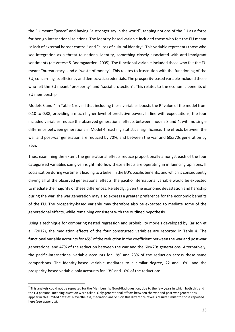the EU meant "peace" and having "a stronger say in the world", tapping notions of the EU as a force for benign international relations. The identity-based variable included those who felt the EU meant "a lack of external border control" and "a loss of cultural identity". This variable represents those who see integration as a threat to national identity, something closely associated with anti-immigrant sentiments (de Vreese & Boomgaarden, 2005). The functional variable included those who felt the EU meant "bureaucracy" and a "waste of money". This relates to frustration with the functioning of the EU, concerning its efficiency and democratic credentials. The prosperity-based variable included those who felt the EU meant "prosperity" and "social protection". This relates to the economic benefits of EU membership.

Models 3 and 4 in Table 1 reveal that including these variables boosts the  $R^2$  value of the model from 0.10 to 0.38, providing a much higher level of predictive power. In line with expectations, the four included variables reduce the observed generational effects between models 3 and 4, with no single difference between generations in Model 4 reaching statistical significance. The effects between the war and post-war generation are reduced by 70%, and between the war and 60s/70s generation by 75%.

Thus, examining the extent the generational effects reduce proportionally amongst each of the four categorised variables can give insight into how these effects are operating in influencing opinions. If socialisation during wartime isleading to a belief in the EU's pacific benefits, and which is consequently driving all of the observed generational effects, the pacific-international variable would be expected to mediate the majority of these differences. Relatedly, given the economic devastation and hardship during the war, the war generation may also express a greater preference for the economic benefits of the EU. The prosperity-based variable may therefore also be expected to mediate some of the generational effects, while remaining consistent with the outlined hypothesis.

Using a technique for comparing nested regression and probability models developed by Karlson et al. (2012), the mediation effects of the four constructed variables are reported in Table 4. The functional variable accounts for 45% of the reduction in the coefficient between the war and post-war generations, and 47% of the reduction between the war and the 60s/70s generations. Alternatively, the pacific-international variable accounts for 19% and 23% of the reduction across these same comparisons. The identity-based variable mediates to a similar degree, 22 and 16%, and the prosperity-based variable only accounts for 13% and 10% of the reduction<sup>2</sup>.

**.** 

 $<sup>2</sup>$  This analysis could not be repeated for the Membership Good/Bad question, due to the few years in which both this and</sup> the EU personal meaning question were asked. Only generational effects between the war and post-war generations appear in this limited dataset. Nevertheless, mediation analysis on this difference reveals results similar to those reported here (see appendix).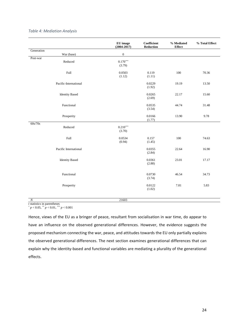|                        | EU image<br>$(2004 - 2017)$ | Coefficient<br>Reduction | % Mediated<br><b>Effect</b> | % Total Effect |
|------------------------|-----------------------------|--------------------------|-----------------------------|----------------|
| Generation             |                             |                          |                             |                |
| War (base)<br>Post-war | $\boldsymbol{0}$            |                          |                             |                |
| Reduced                | $0.170***$<br>(3.79)        |                          |                             |                |
| Full                   | 0.0503<br>(1.12)            | 0.119<br>(1.11)          | 100                         | 70.36          |
| Pacific-International  |                             | 0.0229<br>(1.92)         | 19.19                       | 13.50          |
| <b>Identity Based</b>  |                             | 0.0265<br>(2.69)         | 22.17                       | 15.60          |
| Functional             |                             | 0.0535<br>(3.54)         | 44.74                       | 31.48          |
| Prosperity             |                             | 0.0166<br>(1.77)         | 13.90                       | 9.78           |
| 60s/70s<br>Reduced     | $0.210***$<br>(3.70)        |                          |                             |                |
| Full                   | 0.0534<br>(0.94)            | 0.157<br>(1.45)          | 100                         | 74.63          |
| Pacific International  |                             | 0.0355<br>(2.84)         | 22.64                       | 16.90          |
| <b>Identity Based</b>  |                             | 0.0361<br>(2.88)         | 23.01                       | 17.17          |
| Functional             |                             | 0.0730<br>(3.74)         | 46.54                       | 34.73          |
| Prosperity             |                             | 0.0122<br>(1.02)         | 7.81                        | 5.83           |
|                        |                             |                          |                             |                |

#### *Table 4: Mediation Analysis*

*N* 21603

*t* statistics in parentheses

\* *p* < 0.05, \*\* *p* < 0.01, \*\*\* *p* < 0.001

Hence, views of the EU as a bringer of peace, resultant from socialisation in war time, do appear to have an influence on the observed generational differences. However, the evidence suggests the proposed mechanism connecting the war, peace, and attitudes towards the EU only partially explains the observed generational differences. The next section examines generational differences that can explain why the identity-based and functional variables are mediating a plurality of the generational effects.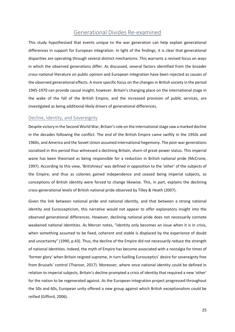## Generational Divides Re-examined

This study hypothesised that events unique to the war generation can help explain generational differences in support for European integration. In light of the findings, it is clear that generational disparities are operating through several distinct mechanisms. This warrants a revised focus on ways in which the observed generations differ. As discussed, several factors identified from the broader cross-national literature on public opinion and European integration have been rejected as causes of the observed generational effects. A more specific focus on the changes in British society in the period 1945-1970 can provide causal insight, however. Britain's changing place on the international stage in the wake of the fall of the British Empire, and the increased provision of public services, are investigated as being additional likely drivers of generational differences.

#### Decline, Identity, and Sovereignty

Despite victory in the Second World War, Britain's role on the international stage saw a marked decline in the decades following the conflict. The end of the British Empire came swiftly in the 1950s and 1960s, and America and the Soviet Union assumed international hegemony. The post-war generations socialised in this period thus witnessed a declining Britain, shorn of great-power status. This imperial wane has been theorised as being responsible for a reduction in British national pride (McCrone, 1997). According to this view, 'Britishness' was defined in opposition to the 'other' of the subjects of the Empire, and thus as colonies gained independence and ceased being imperial subjects, so conceptions of British identity were forced to change likewise. This, in part, explains the declining cross-generational levels of British national pride observed by Tilley & Heath (2007).

Given the link between national pride and national identity, and that between a strong national identity and Euroscepticism, this narrative would not appear to offer explanatory insight into the observed generational differences. However, declining national pride does not necessarily connote weakened national identities. As Mercer notes, "identity only becomes an issue when it is in crisis, when something assumed to be fixed, coherent and stable is displaced by the experience of doubt and uncertainty" (1990, p.43). Thus, the decline of the Empire did not necessarily reduce the strength of national identities. Indeed, the myth of Empire has become associated with a nostalgia for times of 'former glory' when Britain reigned supreme, in turn fuelling Eurosceptics' desire for sovereignty free from Brussels' control (Tharoor, 2017). Moreover, where once national identity could be defined in relation to imperial subjects, Britain's decline prompted a crisis of identity that required a new 'other' for the nation to be regenerated against. As the European integration project progressed throughout the 50s and 60s, European unity offered a new group against which British exceptionalism could be reified (Gifford, 2006).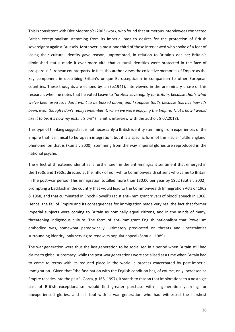This is consistent with Díez Medrano's (2003) work, who found that numerous interviewees connected British exceptionalism stemming from its imperial past to desires for the protection of British sovereignty against Brussels. Moreover, almost one third of those interviewed who spoke of a fear of losing their cultural identity gave reason, unprompted, in relation to Britain's decline; Britain's diminished status made it ever more vital that cultural identities were protected in the face of prosperous European counterparts. In fact, this author views the collective memories of Empire as the key component in describing Britain's unique Euroscepticism in comparison to other European countries. These thoughts are echoed by Ian (b.1941), interviewed in the preliminary phase of this research, when he notes that he voted Leave to *"protect sovereignty for Britain, because that's what we've been used to. I don't want to be bossed about, and I suppose that's because this has how it's been, even though I don't really remember it, when we were enjoying the Empire. That's how I would like it to be, it's how my instincts are*" (I. Smith, interview with the author, 8.07.2018).

This type of thinking suggests it is not necessarily a British identity stemming from experiences of the Empire that is inimical to European integration, but it is a specific form of the insular 'Little England' phenomenon that is (Kumar, 2000), stemming from the way imperial glories are reproduced in the national psyche.

The effect of threatened identities is further seen in the anti-immigrant sentiment that emerged in the 1950s and 1960s, directed at the influx of non-white Commonwealth citizens who came to Britain in the post-war period. This immigration totalled more than 130,00 per year by 1962 (Butler, 2002), prompting a backlash in the country that would lead to the Commonwealth Immigration Acts of 1962 & 1968, and that culminated in Enoch Powell's racist anti-immigrant 'rivers of blood' speech in 1968. Hence, the fall of Empire and its consequences for immigration made very real the fact that former imperial subjects were coming to Britain as nominally equal citizens, and in the minds of many, threatening indigenous culture. The form of anti-immigrant English nationalism that Powellism embodied was, somewhat paradoxically, ultimately predicated on threats and uncertainties surrounding identity, only serving to renew its popular appeal (Samuel, 1989).

The war generation were thus the last generation to be socialised in a period when Britain still had claims to global supremacy, while the post-war generations were socialised at a time when Britain had to come to terms with its reduced place in the world, a process exacerbated by post-imperial immigration. Given that "the fascination with the English condition has, of course, only increased as Empire recedes into the past" (Gorra, p.165, 1997), it stands to reason that implorations to a nostalgic past of British exceptionalism would find greater purchase with a generation yearning for unexperienced glories, and fall foul with a war generation who had witnessed the harshest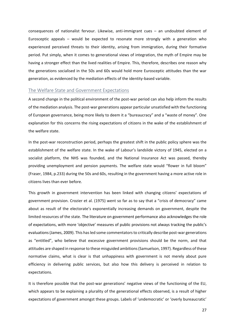consequences of nationalist fervour. Likewise, anti-immigrant cues – an undoubted element of Eurosceptic appeals – would be expected to resonate more strongly with a generation who experienced perceived threats to their identity, arising from immigration, during their formative period. Put simply, when it comes to generational views of integration, the myth of Empire may be having a stronger effect than the lived realities of Empire. This, therefore, describes one reason why the generations socialised in the 50s and 60s would hold more Eurosceptic attitudes than the war generation, as evidenced by the mediation effects of the identity-based variable.

#### The Welfare State and Government Expectations

A second change in the political environment of the post-war period can also help inform the results of the mediation analysis. The post-war generations appear particular unsatisfied with the functioning of European governance, being more likely to deem it a "bureaucracy" and a "waste of money". One explanation for this concerns the rising expectations of citizens in the wake of the establishment of the welfare state.

In the post-war reconstruction period, perhaps the greatest shift in the public policy sphere was the establishment of the welfare state. In the wake of Labour's landslide victory of 1945, elected on a socialist platform, the NHS was founded, and the National Insurance Act was passed, thereby providing unemployment and pension payments. The welfare state would "flower in full bloom" (Fraser, 1984, p.233) during the 50s and 60s, resulting in the government having a more active role in citizens lives than ever before.

This growth in government intervention has been linked with changing citizens' expectations of government provision. Crozier et al. (1975) went so far as to say that a "crisis of democracy" came about as result of the electorate's exponentially increasing demands on government, despite the limited resources of the state. The literature on government performance also acknowledges the role of expectations, with more 'objective' measures of public provisions not always tracking the public's evaluations (James, 2009). This has led some commentators to critically describe post-war generations as "entitled", who believe that excessive government provisions should be the norm, and that attitudes are shaped in response to these misguided ambitions (Samuelson, 1997). Regardless of these normative claims, what is clear is that unhappiness with government is not merely about pure efficiency in delivering public services, but also how this delivery is perceived in relation to expectations.

It is therefore possible that the post-war generations' negative views of the functioning of the EU, which appears to be explaining a plurality of the generational effects observed, is a result of higher expectations of government amongst these groups. Labels of 'undemocratic' or 'overly bureaucratic'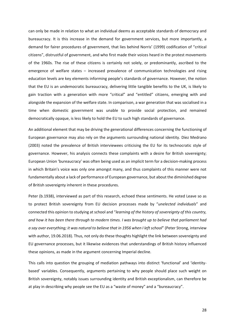can only be made in relation to what an individual deems as acceptable standards of democracy and bureaucracy. It is this increase in the demand for government services, but more importantly, a demand for fairer procedures of government, that lies behind Norris' (1999) codification of "critical citizens", distrustful of government, and who first made their voices heard in the protest movements of the 1960s. The rise of these citizens is certainly not solely, or predominantly, ascribed to the emergence of welfare states – increased prevalence of communication technologies and rising education levels are key elements informing people's standards of governance. However, the notion that the EU is an undemocratic bureaucracy, delivering little tangible benefits to the UK, is likely to gain traction with a generation with more "critical" and "entitled" citizens, emerging with and alongside the expansion of the welfare state. In comparison, a war generation that was socialised in a time when domestic government was unable to provide social protection, and remained democratically opaque, is less likely to hold the EU to such high standards of governance.

An additional element that may be driving the generational differences concerning the functioning of European governance may also rely on the arguments surrounding national identity. Díez Medrano (2003) noted the prevalence of British interviewees criticising the EU for its technocratic style of governance. However, his analysis connects these complaints with a desire for British sovereignty; European Union 'bureaucracy' was often being used as an implicit term for a decision-making process in which Britain's voice was only one amongst many, and thus complaints of this manner were not fundamentally about a lack of performance of European governance, but about the diminished degree of British sovereignty inherent in these procedures.

Peter (b.1938), interviewed as part of this research, echoed these sentiments. He voted Leave so as to protect British sovereignty from EU decision processes made by "*unelected individuals*" and connected this opinion to studying at school and "*learning of the history of sovereignty of this country, and how it has been there through to modern times. I was brought up to believe that parliament had a say over everything; it was natural to believe that in 1956 when I left school*" (Peter Strong, interview with author, 19.06.2018). Thus, not only do these thoughts highlight the link between sovereignty and EU governance processes, but it likewise evidences that understandings of British history influenced these opinions, as made in the argument concerning Imperial decline.

This calls into question the grouping of mediation pathways into distinct 'functional' and 'identitybased' variables. Consequently, arguments pertaining to why people should place such weight on British sovereignty, notably issues surrounding identity and British exceptionalism, can therefore be at play in describing why people see the EU as a "waste of money" and a "bureaucracy".

28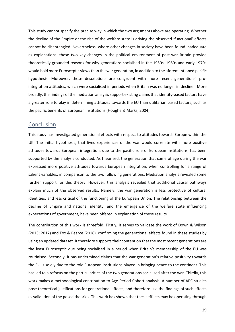This study cannot specify the precise way in which the two arguments above are operating. Whether the decline of the Empire or the rise of the welfare state is driving the observed 'functional' effects cannot be disentangled. Nevertheless, where other changes in society have been found inadequate as explanations, these two key changes in the political environment of post-war Britain provide theoretically grounded reasons for why generations socialised in the 1950s, 1960s and early 1970s would hold more Eurosceptic views than the war generation, in addition to the aforementioned pacific hypothesis. Moreover, these descriptions are congruent with more recent generations' prointegration attitudes, which were socialised in periods when Britain was no longer in decline. More broadly, the findings of the mediation analysis support existing claims that identity-based factors have a greater role to play in determining attitudes towards the EU than utilitarian based factors, such as the pacific benefits of European institutions (Hooghe & Marks, 2004).

### Conclusion

This study has investigated generational effects with respect to attitudes towards Europe within the UK. The initial hypothesis, that lived experiences of the war would correlate with more positive attitudes towards European integration, due to the pacific role of European institutions, has been supported by the analysis conducted. As theorised, the generation that came of age during the war expressed more positive attitudes towards European integration, when controlling for a range of salient variables, in comparison to the two following generations. Mediation analysis revealed some further support for this theory. However, this analysis revealed that additional causal pathways explain much of the observed results. Namely, the war generation is less protective of cultural identities, and less critical of the functioning of the European Union. The relationship between the decline of Empire and national identity, and the emergence of the welfare state influencing expectations of government, have been offered in explanation of these results.

The contribution of this work is threefold. Firstly, it serves to validate the work of Down & Wilson (2013; 2017) and Fox & Pearce (2018), confirming the generational effects found in these studies by using an updated dataset. It therefore supports their contention that the most recent generations are the least Eurosceptic due being socialised in a period when Britain's membership of the EU was routinised. Secondly, it has undermined claims that the war generation's relative positivity towards the EU is solely due to the role European institutions played in bringing peace to the continent. This has led to a refocus on the particularities of the two generations socialised after the war. Thirdly, this work makes a methodological contribution to Age-Period-Cohort analysis. A number of APC studies pose theoretical justifications for generational effects, and therefore use the findings of such effects as validation of the posed theories. This work has shown that these effects may be operating through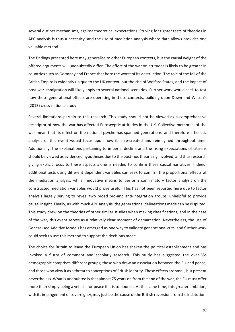several distinct mechanisms, against theoretical expectations. Striving for tighter tests of theories in APC analysis is thus a necessity, and the use of mediation analysis where data allows provides one valuable method.

The findings presented here may generalise to other European contexts, but the causal weight of the offered arguments will undoubtedly differ. The effect of the war on attitudes is likely to be greater in countries such as Germany and France that bore the worst of its destruction. The role of the fall of the British Empire is evidently unique to the UK context, but the rise of Welfare States, and the impact of post-war immigration will likely apply to several national scenarios. Further work would seek to test how these generational effects are operating in these contexts, building upon Down and Wilson's (2013) cross-national study.

Several limitations pertain to this research. This study should not be viewed as a comprehensive descriptor of how the war has affected Eurosceptic attitudes in the UK. Collective memories of the war mean that its effect on the national psyche has spanned generations, and therefore a holistic analysis of this event would focus upon how it is re-created and reimagined throughout time. Additionally, the explanations pertaining to imperial decline and the rising expectations of citizens should be viewed as evidenced hypotheses due to the post-hoc theorising involved, and thus research giving explicit focus to these aspects alone is needed to confirm these causal narratives. Indeed, additional tests using different dependent variables can seek to confirm the proportional effects of the mediation analysis, while innovative means to perform confirmatory factor analysis on the constructed mediation variables would prove useful. This has not been reported here due to factor analysis largely serving to reveal two broad pro-and anti-integration groups, unhelpful to provide causal insight. Finally, as with much APC analysis, the generational delineations made can be disputed. This study drew on the theories of other similar studies when making classifications, and in the case of the war, this event serves as a relatively clear moment of demarcation. Nevertheless, the use of Generalised Additive Models has emerged as one way to validate generational cuts, and further work could seek to use this method to support the decisions made.

The choice for Britain to leave the European Union has shaken the political establishment and has invoked a flurry of comment and scholarly research. This study has suggested the over-65s demographic comprises different groups; those who draw an association between the EU and peace, and those who view it as a threat to conceptions of British identity. These effects are small, but present nevertheless. What is undoubted is that almost 75 years on from the end of the war, the EU must offer more than simply being a vehicle for peace if it is to flourish. At the same time, this greater ambition, with its impingement of sovereignty, may just be the cause of the British reversion from the institution.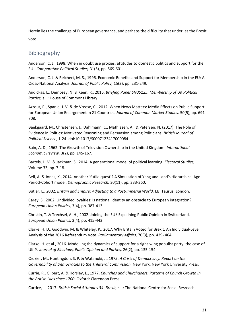Herein lies the challenge of European governance, and perhaps the difficulty that underlies the Brexit vote.

# Bibliography

Anderson, C. J., 1998. When in doubt use proxies: attitudes to domestic politics and support for the EU.. *Comparative Political Studies,* 31(5), pp. 569-601.

Anderson, C. J. & Reichert, M. S., 1996. Economic Benefits and Support for Membership in the EU: A Cross-National Analysis. *Journal of Public Policy,* 15(3), pp. 231-249.

Audickas, L., Dempsey, N. & Keen, R., 2016. *Briefing Paper SN05125: Membership of UK Political Parties,* s.l.: House of Commons Library.

Azrout, R., Spanje, J. V. & de Vreese, C., 2012. When News Matters: Media Effects on Public Support for European Union Enlargement in 21 Countries. *Journal of Common Market Studies,* 50(5), pp. 691- 708.

Baekgaard, M., Christensen, J., Dahlmann, C., Mathiasen, A., & Petersen, N. (2017). The Role of Evidence in Politics: Motivated Reasoning and Persuasion among Politicians. *British Journal of Political Science*, 1-24. doi:10.1017/S0007123417000084

Bain, A. D., 1962. The Growth of Television Ownership in the United Kingdom. *International Economic Review,* 3(2), pp. 145-167.

Bartels, L. M. & Jackman, S., 2014. A generational model of political learning. *Electoral Studies,*  Volume 33, pp. 7-18.

Bell, A. & Jones, K., 2014. Another 'futile quest'? A Simulation of Yang and Land's Hierarchical Age-Period-Cohort model. *Demographic Research,* 30(11), pp. 333-360.

Butler, L., 2002. *Britain and Empire: Adjusting to a Post-Imperial World.* I.B. Taurus: London.

Carey, S., 2002. Undivided loyalties: is national identity an obstacle to European integration?. *European Union Politics,* 3(4), pp. 387-413.

Christin, T. & Trechsel, A. H., 2002. Joining the EU? Explaining Public Opinion in Switzerland. *European Union Politics,* 3(4), pp. 415-443.

Clarke, H. D., Goodwin, M. & Whiteley, P., 2017. Why Britain Voted for Brexit: An Individual-Level Analysis of the 2016 Referendum Vote. *Parliamentary Affairs,* 70(3), pp. 439- 464.

Clarke, H. et al., 2016. Modelling the dynamics of support for a right-wing populist party: the case of UKIP. *Journal of Elections, Public Opinion and Parties,* 26(2), pp. 135-154.

Crozier, M., Huntingdon, S. P. & Watanuki, J., 1975. *A Crisis of Democrcacy: Report on the Governability of Democracies to the Trilateral Commission,* New York: New York University Press.

Currie, R., Gilbert, A. & Horsley, L., 1977. *Churches and Churchgoers: Patterns of Church Growth in the British Isles since 1700.* Oxford: Clarendon Press.

Curtice, J., 2017. *British Social Attitudes 34: Brexit,* s.l.: The National Centre for Social Resreach.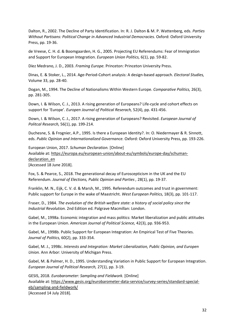Dalton, R., 2002. The Decline of Party Identification. In: R. J. Dalton & M. P. Wattenberg, eds. *Parties Without Partisans: Political Change in Advanced Industrial Democracies.* Oxford: Oxford University Press, pp. 19-36.

de Vreese, C. H. d. & Boomgaarden, H. G., 2005. Projecting EU Referendums: Fear of Immigration and Support for European Integration. *European Union Politics,* 6(1), pp. 59-82.

Díez Medrano, J. D., 2003. *Framing Europe.* Princeton: Princeton University Press.

Dinas, E. & Stoker, L., 2014. Age-Period-Cohort analysis: A design-based approach. *Electoral Studies,*  Volume 33, pp. 28-40.

Dogan, M., 1994. The Decline of Nationalisms Within Western Europe. *Comparative Politics,* 26(3), pp. 281-305.

Down, I. & Wilson, C. J., 2013. A rising generation of Europeans? Life-cycle and cohort effects on support for 'Europe'. *Europen Journal of Political Reserach,* 52(4), pp. 431-456.

Down, I. & Wilson, C. J., 2017. A rising generation of Europeans? Revisited. *European Journal of Politcal Research,* 56(1), pp. 199-214.

Duchesne, S. & Frognier, A.P., 1995. Is there a European Identity?. In: O. Niedermayer & R. Sinnott, eds. *Public Opinion and Internationalized Governance.* Oxford: Oxford University Press, pp. 193-226.

European Union, 2017. *Schuman Declaration.* [Online] Available at: https://europa.eu/european-union/about-eu/symbols/europe-day/schumandeclaration\_en

[Accessed 18 June 2018].

Fox, S. & Pearce, S., 2018. The generational decay of Euroscepticism in the UK and the EU Referendum. *Journal of Elections, Public Opinion and Parties ,* 28(1), pp. 19-37.

Franklin, M. N., Eijk, C. V. d. & Marsh, M., 1995. Referendum outcomes and trust in government: Public support for Europe in the wake of Maastricht. *West European Politics,* 18(3), pp. 101-117.

Fraser, D., 1984. *The evolution of the British welfare state: a history of social policy since the Industrial Revolution.* 2nd Edition ed. Palgrave Macmillan: London.

Gabel, M., 1998a. Economic integration and mass politics: Market liberalization and public attitudes in the European Union. *American Journal of Political Science,* 42(3), pp. 936-953.

Gabel, M., 1998b. Public Support for European Integration: An Empirical Test of Five Theories. *Journal of Politics,* 60(2), pp. 333-354.

Gabel, M. J., 1998c. *Interests and Integration: Market Liberalization, Public Opinion, and Europen Union.* Ann Arbor: University of Michigan Press.

Gabel, M. & Palmer, H. D., 1995. Understanding Variation in Public Support for European Integration. *European Journal of Political Research,* 27(1), pp. 3-19.

GESIS, 2018. *Eurobarometer: Sampling and Fieldwork.* [Online] Available at: https://www.gesis.org/eurobarometer-data-service/survey-series/standard-specialeb/sampling-and-fieldwork/ [Accessed 14 July 2018].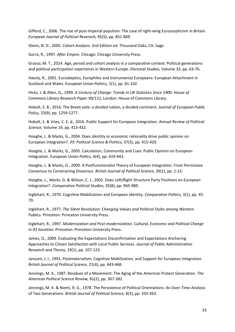Gifford, C., 2006. The rise of post-imperial populism: The case of right-wing Euroscepticism in Britain. *European Journal of Political Reserach,* 45(5), pp. 851-869.

Glenn, N. D., 2005. *Cohort Analysis.* 2nd Edition ed. Thousand Oaks, CA: Sage.

Gorra, R., 1997. *After Empire.* Chicago: Chicago University Press.

Grasso, M. T., 2014. Age, period and cohort analysis in a comparative context: Political generations and political participation repertoires in Western Europe. *Electoral Studies,* Volume 33, pp. 63-76.

Haesly, R., 2001. Euroskeptics, Europhiles and Instrumental Europeans: European Attachment in Scotland and Wales. *European Union Politics,* 2(1), pp. 81-102.

Hicks, J. & Allen, G., 1999. *A Century of Change: Trends in UK Statistics Since 1900. House of Commons Library Research Paper 99/111,* London: House of Commons Library.

Hobolt, S. B., 2016. The Brexit vote: a divided nation, a divided continent. *Journal of European Public Policy,* 23(9), pp. 1259-1277.

Hobolt, S. & Vries, C. E. d., 2016. Public Support for European Integration. *Annual Review of Political Science,* Volume 19, pp. 413-432.

Hooghe, L. & Marks, G., 2004. Does identity or economic rationality drive public opinion on European integration?. *PS: Political Science & Politics,* 37(3), pp. 415-420.

Hooghe, L. & Marks, G., 2005. Calculation, Community and Cues: Public Opinion on European Integration. *European Union Politcs,* 6(4), pp. 419-443.

Hooghe, L. & Marks, G., 2009. A Postfunctionalist Theory of European Integration: From Permissive Consensus to Constraining Dissensus. *British Journal of Poliitcal Science,* 39(1), pp. 1-23.

Hooghe, L., Marks, G. & Wilson, C. J., 2002. Does Left/Right Structure Party Positions on European Integration?. *Comparative Political Studies*, 35(8), pp. 965-989.

Inglehart, R., 1970. Cognitive Mobilization and European Identity. *Comparative Politics,* 3(1), pp. 45- 70.

Inglehart, R., 1977. *The Silent Revolution: Changing Values and Political Styles among Western Publics.* Princeton: Princeton University Press.

Inglehart, R., 1997. *Modernization and Post-modernization: Cultural, Economic and Political Change in 43 Societies.* Princeton: Princeton University Press.

James, O., 2009. Evaluating the Expectations Disconfirmation and Expectations Anchoring Approaches to Citizen Satisfaction with Local Public Services. *Journal of Public Administration Research and Theory,* 19(1), pp. 107-123.

Janssen, J. I., 1991. Postmaterialism, Cognitive Mobilization, and Support for European integration. *British Journal of Political Science,* 21(4), pp. 443-468.

Jennings, M. K., 1987. Residues of a Movement: The Aging of the American Protest Generation. *The American Political Science Review,* 81(2), pp. 367-382.

Jennings, M. K. & Niemi, R. G., 1978. The Persistence of Political Orientations: An Over-Time Analysis of Two Generations. *British Journal of Political Science,* 8(3), pp. 333-363.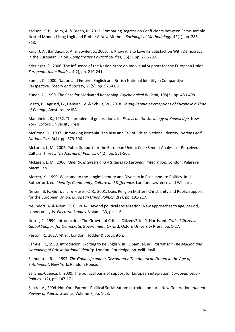Karlson, K. B., Holm, A. & Breen, R., 2012. Comparing Regression Coefficients Between Same-sample Nested Models Using Logit and Probit: A New Method. *Sociological Methodology,* 42(1), pp. 286- 313.

Karp, J. A., Banducci, S. A. & Bowler, S., 2003. To Know it is to Love it? Satisfaction With Democracy in the European Union. *Comparative Political Studies,* 36(3), pp. 271-292.

Kritzinger, S., 2006. The Influence of the Nation-State on Individual Support for the European Union. *European Union Politics,* 4(2), pp. 219-241.

Kumar, K., 2000. Nation and Empire: English and British National Identity in Comparative Perspective. *Theory and Society,* 29(5), pp. 575-608.

Kunda, Z., 1990. The Case for Motivated Reasoning. *Psychological Bulletin,* 108(3), pp. 480-498.

Losito, B., Agrusti, G., Damiani, V. & Schulz, W., 2018. *Young People's Perceptions of Europe in a Time of Change,* Amsterdam: IEA.

Mannheim, K., 1952. The problem of generations. In: *Essays on the Sociology of Knowledge.* New York: Oxford University Press.

McCrone, D., 1997. Unmasking Brittania: The Rise and Fall of British National Identity. *Nations and Nationalism,* 3(4), pp. 579-596.

McLaren, L. M., 2002. Public Support for the European Union: Cost/Benefit Analysis or Perceived Cultural Threat. *The Journal of Politics,* 64(2), pp. 551-566.

McLaren, L. M., 2006. *Identity, Interests and Attitudes to European Integration.* London: Palgrave Macmillan.

Mercer, K., 1990. Welcome to the Jungle: Identity and Diversity in Post-modern Politics. In: J. Rutherford, ed. *Identity: Community, Culture and Difference.* London: Lawrence and Wishart.

Nelsen, B. F., Guth, J. L. & Fraser, C. R., 2001. Does Religion Matter? Christianity and Public Support for the European Union. *European Union Politics,* 2(2), pp. 191-217.

Neundorf, A. & Niemi, R. G., 2014. Beyond political socialization: New approaches to age, period, cohort analysis. *Electoral Studies,* Volume 33, pp. 1-6.

Norris, P., 1999. Introduction: The Growth of Critical Citizens?. In: P. Norris, ed. *Critical Citizens: Global Support for Democratic Government.* Oxford: Oxford University Press, pp. 1-27.

Peston, R., 2017. *WTF?.* London: Hodder & Stoughton.

Samuel, R., 1989. Introducion: Exciting to Be English. In: R. Samuel, ed. *Patriotism: The Making and Unmaking of British National Identity.* London: Routledge, pp. xviii - lxvii.

Samuelson, R. J., 1997. *The Good Life and Its Discontents: The American Dream in the Age of Entitlement.* New York: Random House.

Sanchez-Cuenca, I., 2000. The political basis of support for European integration. *European Union Politics,* 1(2), pp. 147-171.

Sapiro, V., 2004. Not Your Parents' Political Socialization: Introduction for a New Generation. *Annual Review of Politcal Science,* Volume 7, pp. 1-23.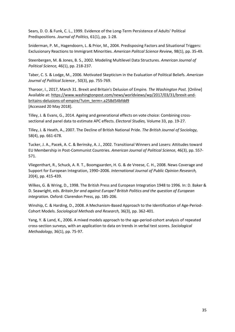Sears, D. O. & Funk, C. L., 1999. Evidence of the Long-Term Persistence of Adults' Political Predispositions. *Journal of Politics,* 61(1), pp. 1-28.

Sniderman, P. M., Hagendoorn, L. & Prior, M., 2004. Predisposing Factors and Situational Triggers: Exclusionary Reactions to Immigrant Minorities. *American Politcal Science Review,* 98(1), pp. 35-49.

Steenbergen, M. & Jones, B. S., 2002. Modeling Multilevel Data Structures. *American Journal of Political Science,* 46(1), pp. 218-237.

Taber, C. S. & Lodge, M., 2006. Motivated Skepticism in the Evaluation of Political Beliefs. *American Journal of Political Science ,* 50(3), pp. 755-769.

Tharoor, I., 2017, March 31. Brexit and Britain's Delusion of Empire*. The Washington Post.* [Online] Available at: https://www.washingtonpost.com/news/worldviews/wp/2017/03/31/brexit-andbritains-delusions-of-empire/?utm\_term=.a258d54bfdd9 [Accessed 20 May 2018].

Tilley, J. & Evans, G., 2014. Ageing and generational effects on vote choice: Combining crosssectional and panel data to estimate APC effects. *Electoral Studies,* Volume 33, pp. 19-27.

Tilley, J. & Heath, A., 2007. The Decline of British National Pride. *The British Journal of Sociology,*  58(4), pp. 661-678.

Tucker, J. A., Pacek, A. C. & Berinsky, A. J., 2002. Transitional Winners and Losers: Attitudes toward EU Membership in Post-Communist Countries. *American Journal of Political Science,* 46(3), pp. 557- 571.

Vliegenthart, R., Schuck, A. R. T., Boomgaarden, H. G. & de Vreese, C. H., 2008. News Coverage and Support for European Integration, 1990–2006. *International Journal of Public Opinion Research,*  20(4), pp. 415-439.

Wilkes, G. & Wring, D., 1998. The British Press and European Integration 1948 to 1996. In: D. Baker & D. Seawright, eds. *Britain for and against Europe? British Politics and the question of European integration.* Oxford: Clarendon Press, pp. 185-206.

Winship, C. & Harding, D., 2008. A Mechanism-Based Approach to the Identification of Age-Period-Cohort Models. *Sociological Methods and Research,* 36(3), pp. 362-401.

Yang, Y. & Land, K., 2006. A mixed models approach to the age-period-cohort analysis of repeated cross-section surveys, with an application to data on trends in verbal test scores. *Sociological Methodology,* 36(1), pp. 75-97.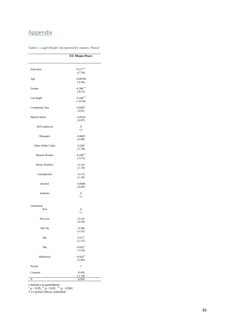# Appendix

|                       | <b>EU Means Peace</b>                 |
|-----------------------|---------------------------------------|
|                       |                                       |
| Education             | $0.127***$<br>(17.56)                 |
| Age                   | $-0.00196$<br>$(-0.46)$               |
| Gender                | $-0.306***$<br>$(-8.41)$              |
| Left-Right            | $-0.108***$<br>$(-10.94)$             |
| <b>Community Size</b> | $0.0459*$<br>(2.02)                   |
| <b>Marital Status</b> | $-0.0324$<br>$(-0.87)$                |
| Self-employed         | $\boldsymbol{0}$<br>(.)               |
| Managers              | $-0.0605$<br>$(-0.80)$                |
| Other White Collar    | $-0.209*$<br>$(-2.39)$                |
| Manual Worker         | $-0.289***$<br>$(-3.75)$              |
| House Workers         | $-0.126$<br>$(-1.29)$                 |
| Unemployed            | $-0.133$<br>$(-1.40)$                 |
| Retired               | $-0.0686$<br>$(-0.89)$                |
| Students              | $\boldsymbol{0}$<br>$\left( .\right)$ |
| Generation            |                                       |
| War                   | $\boldsymbol{0}$<br>(.)               |
| Post-war              | $-0.120$<br>$(-0.94)$                 |
| 60s/70s               | $-0.298$<br>$(-1.81)$                 |
| 80s                   | $-0.517*$<br>$(-2.52)$                |
| 90s                   | $-0.810**$<br>$(-3.29)$               |
| Millennial            | $-0.828**$<br>$(-2.80)$               |
| Period                | Ť                                     |
| Constant              | $-0.456$<br>$(-1.18)$                 |
| Ν                     | 22290                                 |

#### *Table 1: Logit Model: Answered EU means 'Peace'*

*t* statistics in parentheses

 $p < 0.05$ ,  $\binom{**}{p} < 0.01$ ,  $\binom{***}{p} < 0.001$ 

† 21 period effects controlled